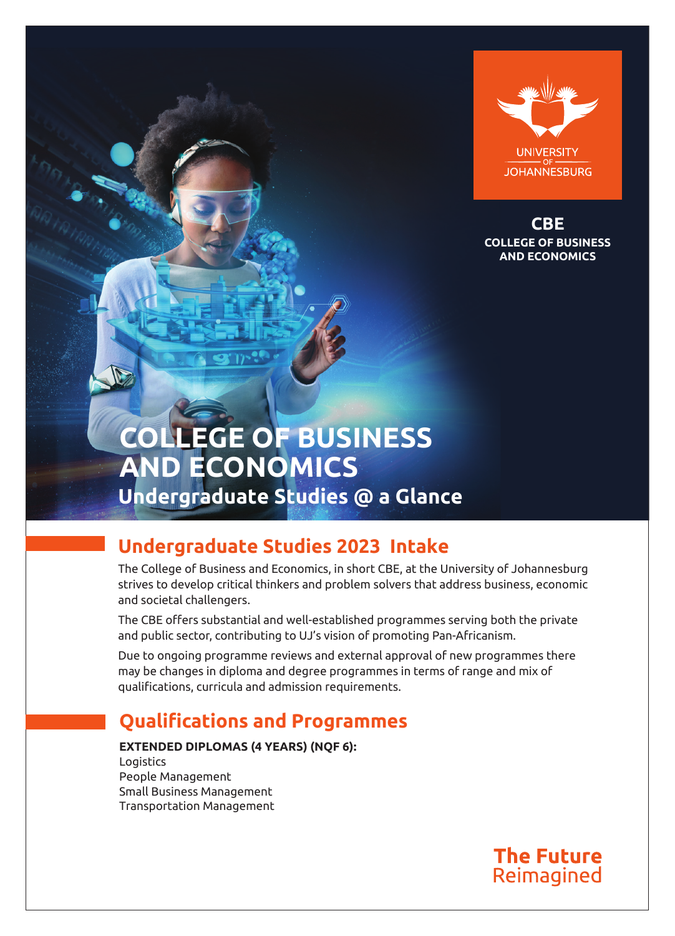

**COLLEGE OF BUSINESS AND ECONOMICS CBE**

# **COLLEGE OF BUSINESS AND ECONOMICS Undergraduate Studies @ a Glance**

## **Undergraduate Studies 2023 Intake**

The College of Business and Economics, in short CBE, at the University of Johannesburg strives to develop critical thinkers and problem solvers that address business, economic and societal challengers.

The CBE offers substantial and well-established programmes serving both the private and public sector, contributing to UJ's vision of promoting Pan-Africanism.

Due to ongoing programme reviews and external approval of new programmes there may be changes in diploma and degree programmes in terms of range and mix of qualifications, curricula and admission requirements.

## **Qualifications and Programmes**

**EXTENDED DIPLOMAS (4 YEARS) (NQF 6):** Logistics People Management Small Business Management Transportation Management